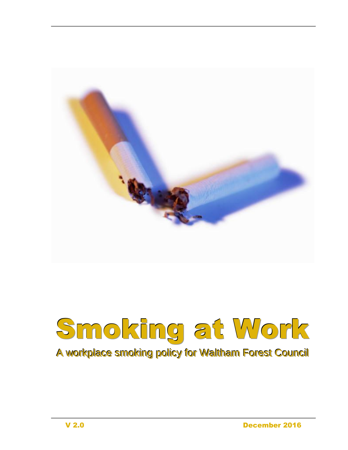

# Smoking at Work A workplace smoking policy for Waltham Forest Council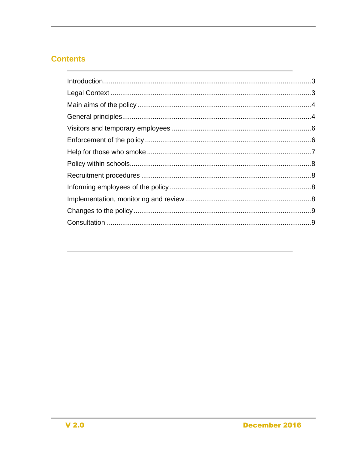## **Contents**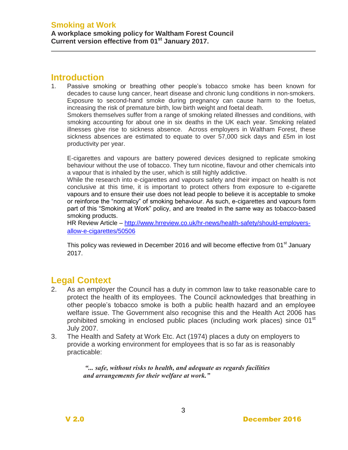## <span id="page-2-0"></span>**Introduction**

1. Passive smoking or breathing other people's tobacco smoke has been known for decades to cause lung cancer, heart disease and chronic lung conditions in non-smokers. Exposure to second-hand smoke during pregnancy can cause harm to the foetus, increasing the risk of premature birth, low birth weight and foetal death.

Smokers themselves suffer from a range of smoking related illnesses and conditions, with smoking accounting for about one in six deaths in the UK each year. Smoking related illnesses give rise to sickness absence. Across employers in Waltham Forest, these sickness absences are estimated to equate to over 57,000 sick days and £5m in lost productivity per year.

E-cigarettes and vapours are battery powered devices designed to replicate smoking behaviour without the use of tobacco. They turn nicotine, flavour and other chemicals into a vapour that is inhaled by the user, which is still highly addictive.

While the research into e-cigarettes and vapours safety and their impact on health is not conclusive at this time, it is important to protect others from exposure to e-cigarette vapours and to ensure their use does not lead people to believe it is acceptable to smoke or reinforce the "normalcy" of smoking behaviour. As such, e-cigarettes and vapours form part of this "Smoking at Work" policy, and are treated in the same way as tobacco-based smoking products.

HR Review Article – [http://www.hrreview.co.uk/hr-news/health-safety/should-employers](http://www.hrreview.co.uk/hr-news/health-safety/should-employers-allow-e-cigarettes/50506)[allow-e-cigarettes/50506](http://www.hrreview.co.uk/hr-news/health-safety/should-employers-allow-e-cigarettes/50506)

This policy was reviewed in December 2016 and will become effective from 01<sup>st</sup> January 2017.

## <span id="page-2-1"></span>**Legal Context**

- 2. As an employer the Council has a duty in common law to take reasonable care to protect the health of its employees. The Council acknowledges that breathing in other people's tobacco smoke is both a public health hazard and an employee welfare issue. The Government also recognise this and the Health Act 2006 has prohibited smoking in enclosed public places (including work places) since 01<sup>st</sup> July 2007.
- 3. The Health and Safety at Work Etc. Act (1974) places a duty on employers to provide a working environment for employees that is so far as is reasonably practicable:

*"... safe, without risks to health, and adequate as regards facilities and arrangements for their welfare at work."*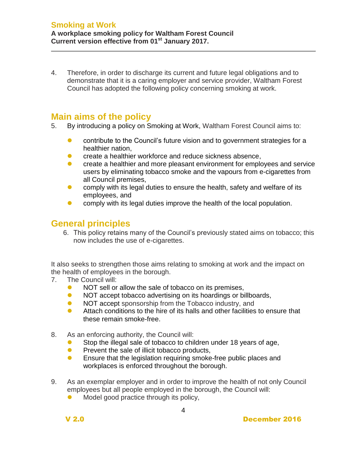4. Therefore, in order to discharge its current and future legal obligations and to demonstrate that it is a caring employer and service provider, Waltham Forest Council has adopted the following policy concerning smoking at work.

## <span id="page-3-0"></span>**Main aims of the policy**

- 5. By introducing a policy on Smoking at Work, Waltham Forest Council aims to:
	- contribute to the Council's future vision and to government strategies for a healthier nation,
	- **C** create a healthier workforce and reduce sickness absence,
	- **C** create a healthier and more pleasant environment for employees and service users by eliminating tobacco smoke and the vapours from e-cigarettes from all Council premises,
	- **•** comply with its legal duties to ensure the health, safety and welfare of its employees, and
	- **•** comply with its legal duties improve the health of the local population.

## <span id="page-3-1"></span>**General principles**

6. This policy retains many of the Council's previously stated aims on tobacco; this now includes the use of e-cigarettes.

It also seeks to strengthen those aims relating to smoking at work and the impact on the health of employees in the borough.

- 7. The Council will:
	- NOT sell or allow the sale of tobacco on its premises,
	- NOT accept tobacco advertising on its hoardings or billboards,
	- NOT accept sponsorship from the Tobacco industry, and
	- **•** Attach conditions to the hire of its halls and other facilities to ensure that these remain smoke-free.
- 8. As an enforcing authority, the Council will:
	- Stop the illegal sale of tobacco to children under 18 years of age,
	- **•** Prevent the sale of illicit tobacco products,
	- **Ensure that the legislation requiring smoke-free public places and** workplaces is enforced throughout the borough.
- 9. As an exemplar employer and in order to improve the health of not only Council employees but all people employed in the borough, the Council will:
	- Model good practice through its policy,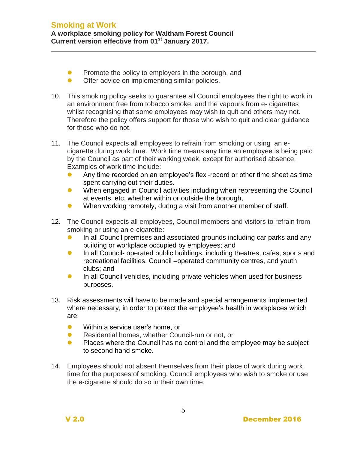- **•** Promote the policy to employers in the borough, and
- **Offer advice on implementing similar policies.**
- 10. This smoking policy seeks to guarantee all Council employees the right to work in an environment free from tobacco smoke, and the vapours from e- cigarettes whilst recognising that some employees may wish to quit and others may not. Therefore the policy offers support for those who wish to quit and clear guidance for those who do not.
- 11. The Council expects all employees to refrain from smoking or using an ecigarette during work time. Work time means any time an employee is being paid by the Council as part of their working week, except for authorised absence. Examples of work time include:
	- Any time recorded on an employee's flexi-record or other time sheet as time spent carrying out their duties.
	- When engaged in Council activities including when representing the Council at events, etc. whether within or outside the borough,
	- When working remotely, during a visit from another member of staff.
- 12. The Council expects all employees, Council members and visitors to refrain from smoking or using an e-cigarette:
	- In all Council premises and associated grounds including car parks and any building or workplace occupied by employees; and
	- **In all Council- operated public buildings, including theatres, cafes, sports and** recreational facilities. Council –operated community centres, and youth clubs; and
	- **In all Council vehicles, including private vehicles when used for business** purposes.
- 13. Risk assessments will have to be made and special arrangements implemented where necessary, in order to protect the employee's health in workplaces which are:
	- **•** Within a service user's home, or
	- **Residential homes, whether Council-run or not, or**
	- **Places where the Council has no control and the employee may be subject** to second hand smoke.
- 14. Employees should not absent themselves from their place of work during work time for the purposes of smoking. Council employees who wish to smoke or use the e-cigarette should do so in their own time.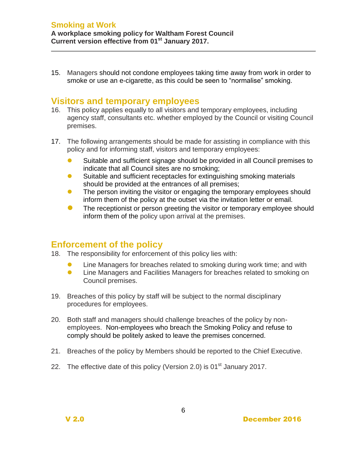15. Managers should not condone employees taking time away from work in order to smoke or use an e-cigarette, as this could be seen to "normalise" smoking.

#### <span id="page-5-0"></span>**Visitors and temporary employees**

- 16. This policy applies equally to all visitors and temporary employees, including agency staff, consultants etc. whether employed by the Council or visiting Council premises.
- 17. The following arrangements should be made for assisting in compliance with this policy and for informing staff, visitors and temporary employees:
	- Suitable and sufficient signage should be provided in all Council premises to indicate that all Council sites are no smoking;
	- Suitable and sufficient receptacles for extinguishing smoking materials should be provided at the entrances of all premises;
	- The person inviting the visitor or engaging the temporary employees should inform them of the policy at the outset via the invitation letter or email.
	- **The receptionist or person greeting the visitor or temporary employee should** inform them of the policy upon arrival at the premises.

### <span id="page-5-1"></span>**Enforcement of the policy**

- 18. The responsibility for enforcement of this policy lies with:
	- **•** Line Managers for breaches related to smoking during work time; and with
	- **•** Line Managers and Facilities Managers for breaches related to smoking on Council premises.
- 19. Breaches of this policy by staff will be subject to the normal disciplinary procedures for employees.
- 20. Both staff and managers should challenge breaches of the policy by nonemployees. Non-employees who breach the Smoking Policy and refuse to comply should be politely asked to leave the premises concerned.
- 21. Breaches of the policy by Members should be reported to the Chief Executive.
- 22. The effective date of this policy (Version 2.0) is  $01<sup>st</sup>$  January 2017.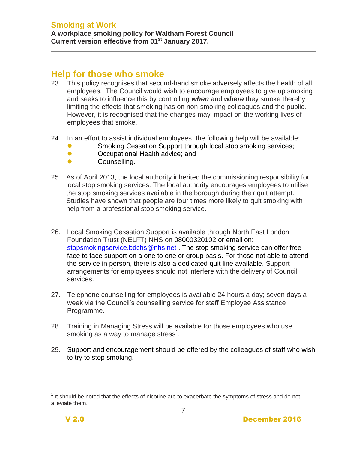### <span id="page-6-0"></span>**Help for those who smoke**

- 23. This policy recognises that second-hand smoke adversely affects the health of all employees. The Council would wish to encourage employees to give up smoking and seeks to influence this by controlling *when* and *where* they smoke thereby limiting the effects that smoking has on non-smoking colleagues and the public. However, it is recognised that the changes may impact on the working lives of employees that smoke.
- 24. In an effort to assist individual employees, the following help will be available:
	- **Smoking Cessation Support through local stop smoking services;**
	- **Occupational Health advice; and**
	- Counselling.
- 25. As of April 2013, the local authority inherited the commissioning responsibility for local stop smoking services. The local authority encourages employees to utilise the stop smoking services available in the borough during their quit attempt. Studies have shown that people are four times more likely to quit smoking with help from a professional stop smoking service.
- 26. Local Smoking Cessation Support is available through North East London Foundation Trust (NELFT) NHS on 08000320102 or email on: [stopsmokingservice.bdchs@nhs.net](mailto:stopsmokingservice.bdchs@nhs.net). The stop smoking service can offer free face to face support on a one to one or group basis. For those not able to attend the service in person, there is also a dedicated quit line available. Support arrangements for employees should not interfere with the delivery of Council services.
- 27. Telephone counselling for employees is available 24 hours a day; seven days a week via the Council's counselling service for staff Employee Assistance Programme.
- 28. Training in Managing Stress will be available for those employees who use smoking as a way to manage stress<sup>1</sup>.
- 29. Support and encouragement should be offered by the colleagues of staff who wish to try to stop smoking.

l  $1$  It should be noted that the effects of nicotine are to exacerbate the symptoms of stress and do not alleviate them.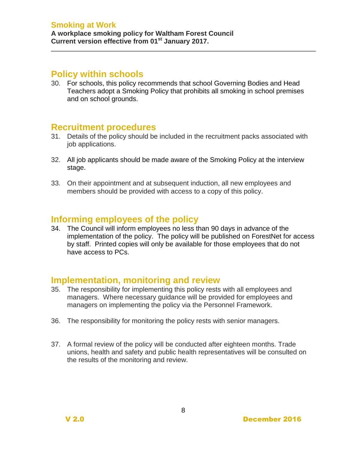#### **Smoking at Work**

#### <span id="page-7-0"></span>**Policy within schools**

30. For schools, this policy recommends that school Governing Bodies and Head Teachers adopt a Smoking Policy that prohibits all smoking in school premises and on school grounds.

#### <span id="page-7-1"></span>**Recruitment procedures**

- 31. Details of the policy should be included in the recruitment packs associated with job applications.
- 32. All job applicants should be made aware of the Smoking Policy at the interview stage.
- 33. On their appointment and at subsequent induction, all new employees and members should be provided with access to a copy of this policy.

#### <span id="page-7-2"></span>**Informing employees of the policy**

34. The Council will inform employees no less than 90 days in advance of the implementation of the policy. The policy will be published on ForestNet for access by staff. Printed copies will only be available for those employees that do not have access to PCs.

#### <span id="page-7-3"></span>**Implementation, monitoring and review**

- 35. The responsibility for implementing this policy rests with all employees and managers. Where necessary guidance will be provided for employees and managers on implementing the policy via the Personnel Framework.
- 36. The responsibility for monitoring the policy rests with senior managers.
- 37. A formal review of the policy will be conducted after eighteen months. Trade unions, health and safety and public health representatives will be consulted on the results of the monitoring and review.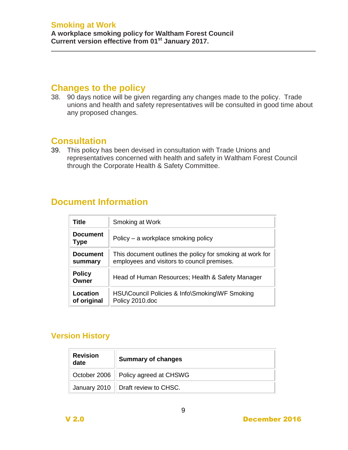## <span id="page-8-0"></span>**Changes to the policy**

38. 90 days notice will be given regarding any changes made to the policy. Trade unions and health and safety representatives will be consulted in good time about any proposed changes.

## <span id="page-8-1"></span>**Consultation**

39. This policy has been devised in consultation with Trade Unions and representatives concerned with health and safety in Waltham Forest Council through the Corporate Health & Safety Committee.

## **Document Information**

| <b>Title</b>                   | Smoking at Work                                                                                          |
|--------------------------------|----------------------------------------------------------------------------------------------------------|
| <b>Document</b><br><b>Type</b> | Policy – a workplace smoking policy                                                                      |
| <b>Document</b><br>summary     | This document outlines the policy for smoking at work for<br>employees and visitors to council premises. |
| <b>Policy</b><br>Owner         | Head of Human Resources; Health & Safety Manager                                                         |
| Location<br>of original        | HSU\Council Policies & Info\Smoking\WF Smoking<br>Policy 2010.doc                                        |

## **Version History**

| <b>Revision</b><br>date | <b>Summary of changes</b>             |
|-------------------------|---------------------------------------|
|                         | October 2006   Policy agreed at CHSWG |
|                         | January 2010   Draft review to CHSC.  |